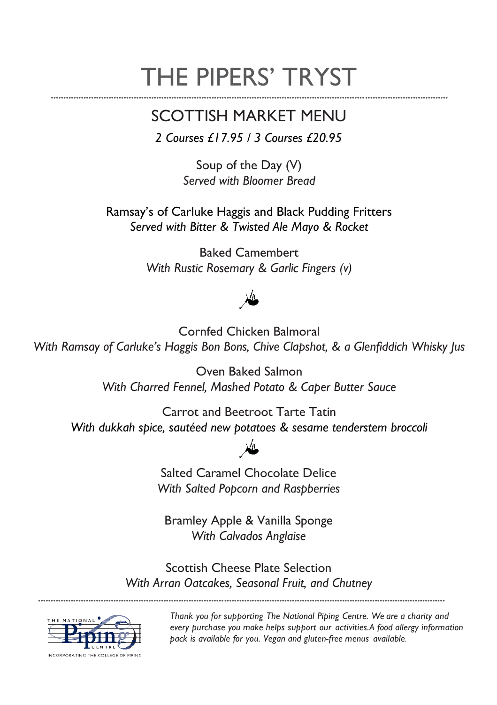# THE PIPERS' TRYST

### SCOTTISH MARKET MENU

*2 Courses £17.95 / 3 Courses £20.95*

Soup of the Day (V) *Served with Bloomer Bread*

Ramsay's of Carluke Haggis and Black Pudding Fritters *Served with Bitter & Twisted Ale Mayo & Rocket*

> Baked Camembert *With Rustic Rosemary & Garlic Fingers (v)*

Cornfed Chicken Balmoral *With Ramsay of Carluke's Haggis Bon Bons, Chive Clapshot, & a Glenfiddich Whisky Jus*

> Oven Baked Salmon *With Charred Fennel, Mashed Potato & Caper Butter Sauce*

Carrot and Beetroot Tarte Tatin *With dukkah spice, sautéed new potatoes & sesame tenderstem broccoli* 

Salted Caramel Chocolate Delice *With Salted Popcorn and Raspberries*

Bramley Apple & Vanilla Sponge *With Calvados Anglaise*

Scottish Cheese Plate Selection *With Arran Oatcakes, Seasonal Fruit, and Chutney*

••••••••••••••••••••••••••••••••••••••••••••••••••••••••••••••••••••••••••••••••••••••••••••••••••••••••••••••••••••••••••••••••••••••••••••••••••••••••••••••••••



••••••••••••••••••••••••••••••••••••••••••••••••••••••••••••••••••••••••••••••••••••••••••••••••••••••••••••••••••••••••••••••••••••••••••••••••••••••••••••••

*Thank you for supporting The National Piping Centre. We are a charity and every purchase you make helps support our activities.A food allergy information pack is available for you. Vegan and gluten-free menus available.*